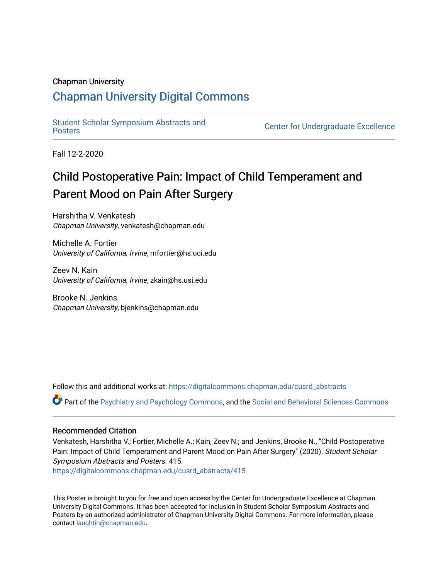### Chapman University

### [Chapman University Digital Commons](https://digitalcommons.chapman.edu/)

[Student Scholar Symposium Abstracts and](https://digitalcommons.chapman.edu/cusrd_abstracts) 

**Center for Undergraduate Excellence** 

Fall 12-2-2020

### Child Postoperative Pain: Impact of Child Temperament and Parent Mood on Pain After Surgery

Harshitha V. Venkatesh Chapman University, venkatesh@chapman.edu

Michelle A. Fortier University of California, Irvine, mfortier@hs.uci.edu

Zeev N. Kain University of California, Irvine, zkain@hs.usi.edu

Brooke N. Jenkins Chapman University, bjenkins@chapman.edu

Follow this and additional works at: [https://digitalcommons.chapman.edu/cusrd\\_abstracts](https://digitalcommons.chapman.edu/cusrd_abstracts?utm_source=digitalcommons.chapman.edu%2Fcusrd_abstracts%2F415&utm_medium=PDF&utm_campaign=PDFCoverPages) 

Part of the [Psychiatry and Psychology Commons,](http://network.bepress.com/hgg/discipline/908?utm_source=digitalcommons.chapman.edu%2Fcusrd_abstracts%2F415&utm_medium=PDF&utm_campaign=PDFCoverPages) and the [Social and Behavioral Sciences Commons](http://network.bepress.com/hgg/discipline/316?utm_source=digitalcommons.chapman.edu%2Fcusrd_abstracts%2F415&utm_medium=PDF&utm_campaign=PDFCoverPages) 

### Recommended Citation

Venkatesh, Harshitha V.; Fortier, Michelle A.; Kain, Zeev N.; and Jenkins, Brooke N., "Child Postoperative Pain: Impact of Child Temperament and Parent Mood on Pain After Surgery" (2020). Student Scholar Symposium Abstracts and Posters. 415. [https://digitalcommons.chapman.edu/cusrd\\_abstracts/415](https://digitalcommons.chapman.edu/cusrd_abstracts/415?utm_source=digitalcommons.chapman.edu%2Fcusrd_abstracts%2F415&utm_medium=PDF&utm_campaign=PDFCoverPages) 

This Poster is brought to you for free and open access by the Center for Undergraduate Excellence at Chapman University Digital Commons. It has been accepted for inclusion in Student Scholar Symposium Abstracts and Posters by an authorized administrator of Chapman University Digital Commons. For more information, please contact [laughtin@chapman.edu](mailto:laughtin@chapman.edu).